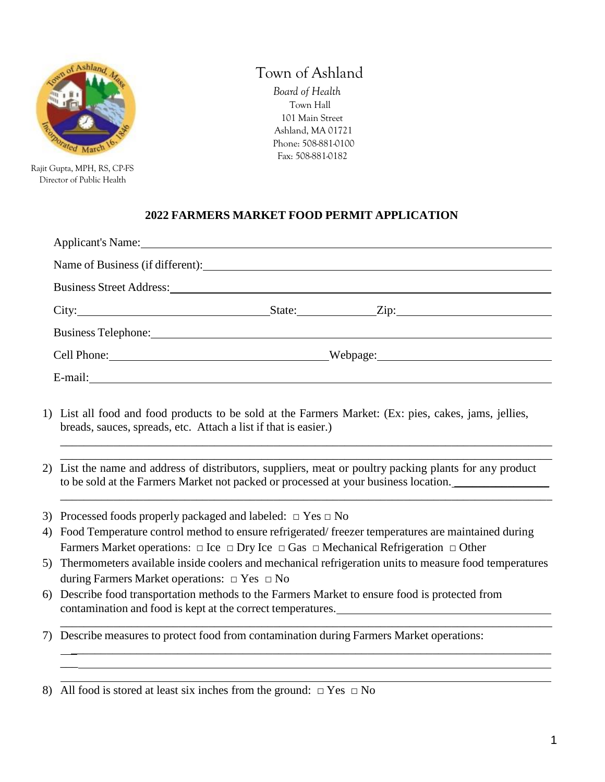

 Rajit Gupta, MPH, RS, CP-FS Director of Public Health

 $\overline{\phantom{a}}$ 

# Town of Ashland

 *Board of Health* Town Hall 101 Main Street Ashland, MA 01721 Phone: 508-881-0100 Fax: 508-881-0182

### **2022 FARMERS MARKET FOOD PERMIT APPLICATION**

| Applicant's Name: 1988                                                                                                                                                                                                         |  |  |
|--------------------------------------------------------------------------------------------------------------------------------------------------------------------------------------------------------------------------------|--|--|
|                                                                                                                                                                                                                                |  |  |
| Business Street Address: 2008. [2016] The Street Address:                                                                                                                                                                      |  |  |
|                                                                                                                                                                                                                                |  |  |
| Business Telephone: New York Changes and Security and Security and Security and Security and Security and Security and Security and Security and Security and Security and Security and Security and Security and Security and |  |  |
| Cell Phone: Webpage: Webpage:                                                                                                                                                                                                  |  |  |
| E-mail: explorer and the second state of the second state of the second state of the second state of the second state of the second state of the second state of the second state of the second state of the second state of t |  |  |

- 1) List all food and food products to be sold at the Farmers Market: (Ex: pies, cakes, jams, jellies, breads, sauces, spreads, etc. Attach a list if that is easier.)
- 2) List the name and address of distributors, suppliers, meat or poultry packing plants for any product to be sold at the Farmers Market not packed or processed at your business location. \_\_\_\_\_\_\_\_\_\_\_\_\_\_\_\_\_\_\_\_\_\_\_\_\_\_

\_\_\_\_\_\_\_\_\_\_\_\_\_\_\_\_\_\_\_\_\_\_\_\_\_\_\_\_\_\_\_\_\_\_\_\_\_\_\_\_\_\_\_\_\_\_\_\_\_\_\_\_\_\_\_\_\_\_\_\_\_\_\_\_\_\_\_\_\_\_\_\_\_\_\_\_\_\_\_\_\_\_\_ \_\_\_\_\_\_\_\_\_\_\_\_\_\_\_\_\_\_\_\_\_\_\_\_\_\_\_\_\_\_\_\_\_\_\_\_\_\_\_\_\_\_\_\_\_\_\_\_\_\_\_\_\_\_\_\_\_\_\_\_\_\_\_\_\_\_\_\_\_\_\_\_\_\_\_\_\_\_\_\_\_\_\_

\_\_\_\_\_\_\_\_\_\_\_\_\_\_\_\_\_\_\_\_\_\_\_\_\_\_\_\_\_\_\_\_\_\_\_\_\_\_\_\_\_\_\_\_\_\_\_\_\_\_\_\_\_\_\_\_\_\_\_\_\_\_\_\_\_\_\_\_\_\_\_\_\_\_\_\_\_\_\_\_\_\_\_

- 3) Processed foods properly packaged and labeled:  $\Box$  Yes  $\Box$  No
- 4) Food Temperature control method to ensure refrigerated/ freezer temperatures are maintained during Farmers Market operations:  $\Box$  Ice  $\Box$  Dry Ice  $\Box$  Gas  $\Box$  Mechanical Refrigeration  $\Box$  Other
- 5) Thermometers available inside coolers and mechanical refrigeration units to measure food temperatures during Farmers Market operations:  $\Box$  Yes  $\Box$  No

\_\_\_\_\_\_\_\_\_\_\_\_\_\_\_\_\_\_\_\_\_\_\_\_\_\_\_\_\_\_\_\_\_\_\_\_\_\_\_\_\_\_\_\_\_\_\_\_\_\_\_\_\_\_\_\_\_\_\_\_\_\_\_\_\_\_\_\_\_\_\_\_\_\_\_\_\_\_\_\_\_

- 6) Describe food transportation methods to the Farmers Market to ensure food is protected from contamination and food is kept at the correct temperatures. \_\_\_\_\_\_\_\_\_\_\_\_\_\_\_\_\_\_\_\_\_\_\_\_\_\_\_\_\_\_\_\_\_\_\_\_\_\_\_\_\_\_\_\_\_\_\_\_\_\_\_\_\_\_\_\_\_\_\_\_\_\_\_\_\_\_\_\_\_\_\_\_\_\_\_\_\_\_\_\_\_\_\_
- 7) Describe measures to protect food from contamination during Farmers Market operations:

<sup>8)</sup> All food is stored at least six inches from the ground:  $\Box$  Yes  $\Box$  No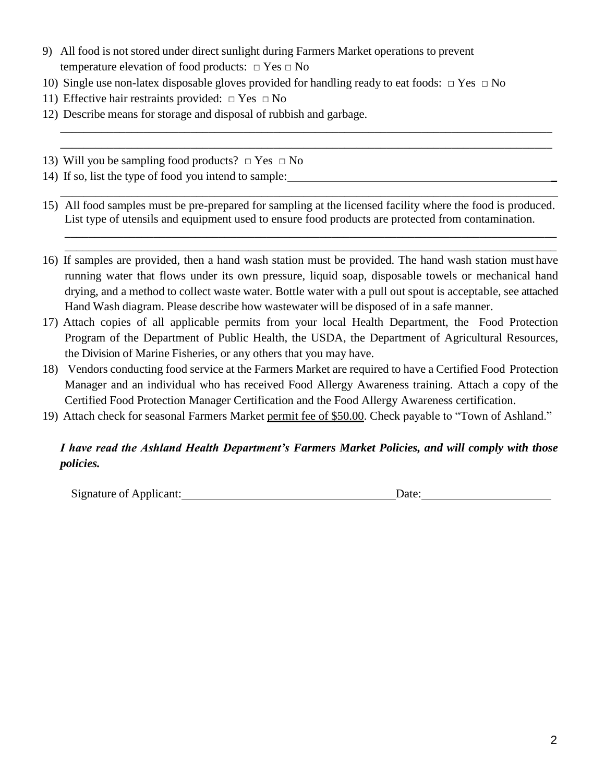- 9) All food is not stored under direct sunlight during Farmers Market operations to prevent temperature elevation of food products:  $\Box$  Yes  $\Box$  No
- 10) Single use non-latex disposable gloves provided for handling ready to eat foods:  $\Box$  Yes  $\Box$  No
- 11) Effective hair restraints provided:  $\Box$  Yes  $\Box$  No
- 12) Describe means for storage and disposal of rubbish and garbage.
- 13) Will you be sampling food products?  $\Box$  Yes  $\Box$  No
- 14) If so, list the type of food you intend to sample: \_
- 15) All food samples must be pre-prepared for sampling at the licensed facility where the food is produced. List type of utensils and equipment used to ensure food products are protected from contamination.

\_\_\_\_\_\_\_\_\_\_\_\_\_\_\_\_\_\_\_\_\_\_\_\_\_\_\_\_\_\_\_\_\_\_\_\_\_\_\_\_\_\_\_\_\_\_\_\_\_\_\_\_\_\_\_\_\_\_\_\_\_\_\_\_\_\_\_\_\_\_\_\_\_\_\_\_\_\_\_\_\_\_\_\_

\_\_\_\_\_\_\_\_\_\_\_\_\_\_\_\_\_\_\_\_\_\_\_\_\_\_\_\_\_\_\_\_\_\_\_\_\_\_\_\_\_\_\_\_\_\_\_\_\_\_\_\_\_\_\_\_\_\_\_\_\_\_\_\_\_\_\_\_\_\_\_\_\_\_\_\_\_\_\_\_\_\_\_ \_\_\_\_\_\_\_\_\_\_\_\_\_\_\_\_\_\_\_\_\_\_\_\_\_\_\_\_\_\_\_\_\_\_\_\_\_\_\_\_\_\_\_\_\_\_\_\_\_\_\_\_\_\_\_\_\_\_\_\_\_\_\_\_\_\_\_\_\_\_\_\_\_\_\_\_\_\_\_\_\_\_\_

\_\_\_\_\_\_\_\_\_\_\_\_\_\_\_\_\_\_\_\_\_\_\_\_\_\_\_\_\_\_\_\_\_\_\_\_\_\_\_\_\_\_\_\_\_\_\_\_\_\_\_\_\_\_\_\_\_\_\_\_\_\_\_\_\_\_\_\_\_\_\_\_\_\_\_\_\_\_\_\_\_\_\_ \_\_\_\_\_\_\_\_\_\_\_\_\_\_\_\_\_\_\_\_\_\_\_\_\_\_\_\_\_\_\_\_\_\_\_\_\_\_\_\_\_\_\_\_\_\_\_\_\_\_\_\_\_\_\_\_\_\_\_\_\_\_\_\_\_\_\_\_\_\_\_\_\_\_\_\_\_\_\_\_\_\_\_

- 16) If samples are provided, then a hand wash station must be provided. The hand wash station must have running water that flows under its own pressure, liquid soap, disposable towels or mechanical hand drying, and a method to collect waste water. Bottle water with a pull out spout is acceptable, see attached Hand Wash diagram. Please describe how wastewater will be disposed of in a safe manner.
- 17) Attach copies of all applicable permits from your local Health Department, the Food Protection Program of the Department of Public Health, the USDA, the Department of Agricultural Resources, the Division of Marine Fisheries, or any others that you may have.
- 18) Vendors conducting food service at the Farmers Market are required to have a Certified Food Protection Manager and an individual who has received Food Allergy Awareness training. Attach a copy of the Certified Food Protection Manager Certification and the Food Allergy Awareness certification.
- 19) Attach check for seasonal Farmers Market permit fee of \$50.00. Check payable to "Town of Ashland."

### *I have read the Ashland Health Department's Farmers Market Policies, and will comply with those policies.*

Signature of Applicant: Date: Date: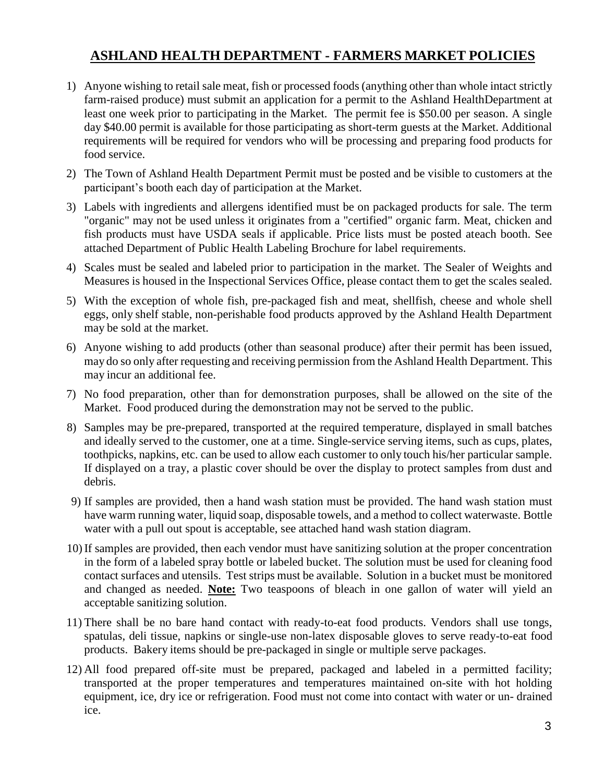## **ASHLAND HEALTH DEPARTMENT - FARMERS MARKET POLICIES**

- 1) Anyone wishing to retail sale meat, fish or processed foods (anything other than whole intact strictly farm-raised produce) must submit an application for a permit to the Ashland HealthDepartment at least one week prior to participating in the Market. The permit fee is \$50.00 per season. A single day \$40.00 permit is available for those participating as short-term guests at the Market. Additional requirements will be required for vendors who will be processing and preparing food products for food service.
- 2) The Town of Ashland Health Department Permit must be posted and be visible to customers at the participant's booth each day of participation at the Market.
- 3) Labels with ingredients and allergens identified must be on packaged products for sale. The term "organic" may not be used unless it originates from a "certified" organic farm. Meat, chicken and fish products must have USDA seals if applicable. Price lists must be posted ateach booth. See attached Department of Public Health Labeling Brochure for label requirements.
- 4) Scales must be sealed and labeled prior to participation in the market. The Sealer of Weights and Measures is housed in the Inspectional Services Office, please contact them to get the scales sealed.
- 5) With the exception of whole fish, pre-packaged fish and meat, shellfish, cheese and whole shell eggs, only shelf stable, non-perishable food products approved by the Ashland Health Department may be sold at the market.
- 6) Anyone wishing to add products (other than seasonal produce) after their permit has been issued, may do so only after requesting and receiving permission from the Ashland Health Department. This may incur an additional fee.
- 7) No food preparation, other than for demonstration purposes, shall be allowed on the site of the Market. Food produced during the demonstration may not be served to the public.
- 8) Samples may be pre-prepared, transported at the required temperature, displayed in small batches and ideally served to the customer, one at a time. Single-service serving items, such as cups, plates, toothpicks, napkins, etc. can be used to allow each customer to only touch his/her particular sample. If displayed on a tray, a plastic cover should be over the display to protect samples from dust and debris.
- 9) If samples are provided, then a hand wash station must be provided. The hand wash station must have warm running water, liquid soap, disposable towels, and a method to collect waterwaste. Bottle water with a pull out spout is acceptable, see attached hand wash station diagram.
- 10)If samples are provided, then each vendor must have sanitizing solution at the proper concentration in the form of a labeled spray bottle or labeled bucket. The solution must be used for cleaning food contact surfaces and utensils. Test strips must be available. Solution in a bucket must be monitored and changed as needed. **Note:** Two teaspoons of bleach in one gallon of water will yield an acceptable sanitizing solution.
- 11) There shall be no bare hand contact with ready-to-eat food products. Vendors shall use tongs, spatulas, deli tissue, napkins or single-use non-latex disposable gloves to serve ready-to-eat food products. Bakery items should be pre-packaged in single or multiple serve packages.
- 12) All food prepared off-site must be prepared, packaged and labeled in a permitted facility; transported at the proper temperatures and temperatures maintained on-site with hot holding equipment, ice, dry ice or refrigeration. Food must not come into contact with water or un- drained ice.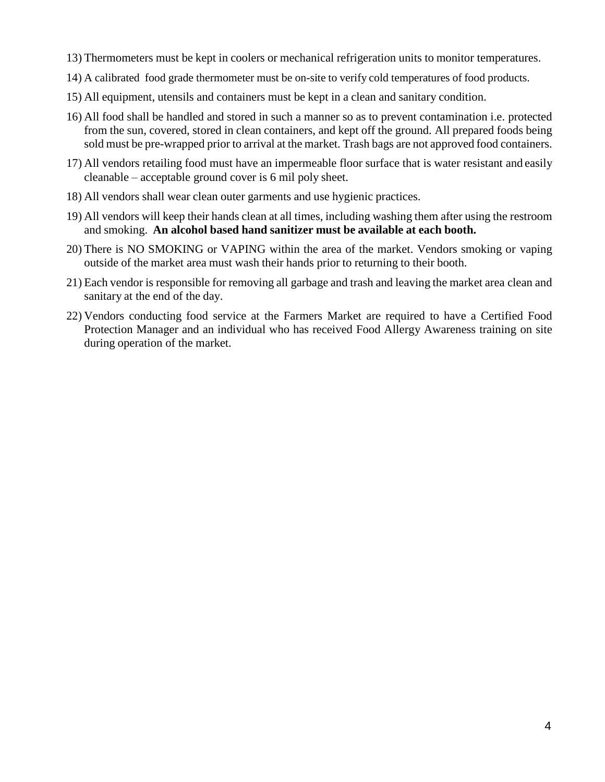- 13) Thermometers must be kept in coolers or mechanical refrigeration units to monitor temperatures.
- 14) A calibrated food grade thermometer must be on-site to verify cold temperatures of food products.
- 15) All equipment, utensils and containers must be kept in a clean and sanitary condition.
- 16) All food shall be handled and stored in such a manner so as to prevent contamination i.e. protected from the sun, covered, stored in clean containers, and kept off the ground. All prepared foods being sold must be pre-wrapped prior to arrival at the market. Trash bags are not approved food containers.
- 17) All vendors retailing food must have an impermeable floor surface that is water resistant and easily cleanable – acceptable ground cover is 6 mil poly sheet.
- 18) All vendors shall wear clean outer garments and use hygienic practices.
- 19) All vendors will keep their hands clean at all times, including washing them after using the restroom and smoking. **An alcohol based hand sanitizer must be available at each booth.**
- 20) There is NO SMOKING or VAPING within the area of the market. Vendors smoking or vaping outside of the market area must wash their hands prior to returning to their booth.
- 21) Each vendor is responsible for removing all garbage and trash and leaving the market area clean and sanitary at the end of the day.
- 22) Vendors conducting food service at the Farmers Market are required to have a Certified Food Protection Manager and an individual who has received Food Allergy Awareness training on site during operation of the market.